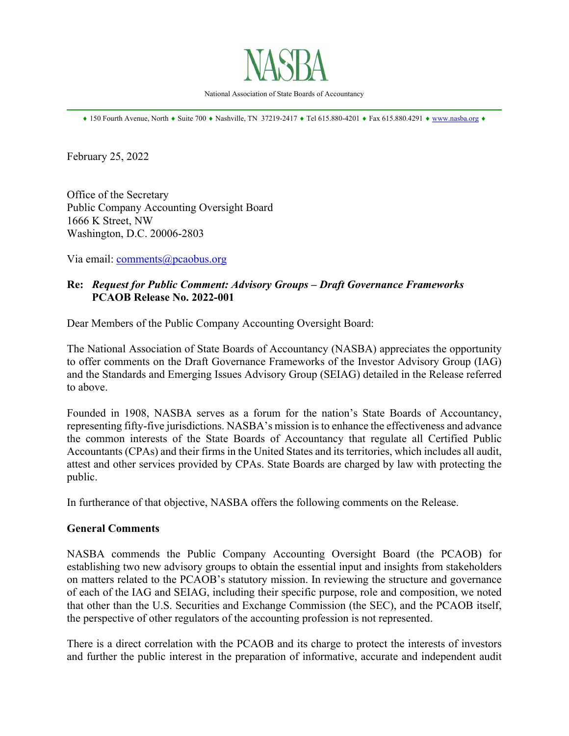

National Association of State Boards of Accountancy \_\_\_\_\_\_\_\_\_\_\_\_\_\_\_\_\_\_\_\_\_\_\_\_\_\_\_\_\_\_\_\_\_\_\_\_\_\_\_\_\_\_\_\_\_\_\_\_\_\_\_\_\_\_\_\_\_\_\_\_\_\_\_\_\_\_\_\_\_\_\_\_\_\_\_\_\_\_

 $*$  150 Fourth Avenue, North  $*$  Suite 700  $*$  Nashville, TN 37219-2417  $*$  Tel 615.880-4201  $*$  Fax 615.880.4291  $*$  www.nasba.org  $*$ 

February 25, 2022

Office of the Secretary Public Company Accounting Oversight Board 1666 K Street, NW Washington, D.C. 20006-2803

Via email: comments@pcaobus.org

## **Re:** *Request for Public Comment: Advisory Groups – Draft Governance Frameworks*   **PCAOB Release No. 2022-001**

Dear Members of the Public Company Accounting Oversight Board:

The National Association of State Boards of Accountancy (NASBA) appreciates the opportunity to offer comments on the Draft Governance Frameworks of the Investor Advisory Group (IAG) and the Standards and Emerging Issues Advisory Group (SEIAG) detailed in the Release referred to above.

Founded in 1908, NASBA serves as a forum for the nation's State Boards of Accountancy, representing fifty-five jurisdictions. NASBA's mission is to enhance the effectiveness and advance the common interests of the State Boards of Accountancy that regulate all Certified Public Accountants (CPAs) and their firms in the United States and its territories, which includes all audit, attest and other services provided by CPAs. State Boards are charged by law with protecting the public.

In furtherance of that objective, NASBA offers the following comments on the Release.

#### **General Comments**

NASBA commends the Public Company Accounting Oversight Board (the PCAOB) for establishing two new advisory groups to obtain the essential input and insights from stakeholders on matters related to the PCAOB's statutory mission. In reviewing the structure and governance of each of the IAG and SEIAG, including their specific purpose, role and composition, we noted that other than the U.S. Securities and Exchange Commission (the SEC), and the PCAOB itself, the perspective of other regulators of the accounting profession is not represented.

There is a direct correlation with the PCAOB and its charge to protect the interests of investors and further the public interest in the preparation of informative, accurate and independent audit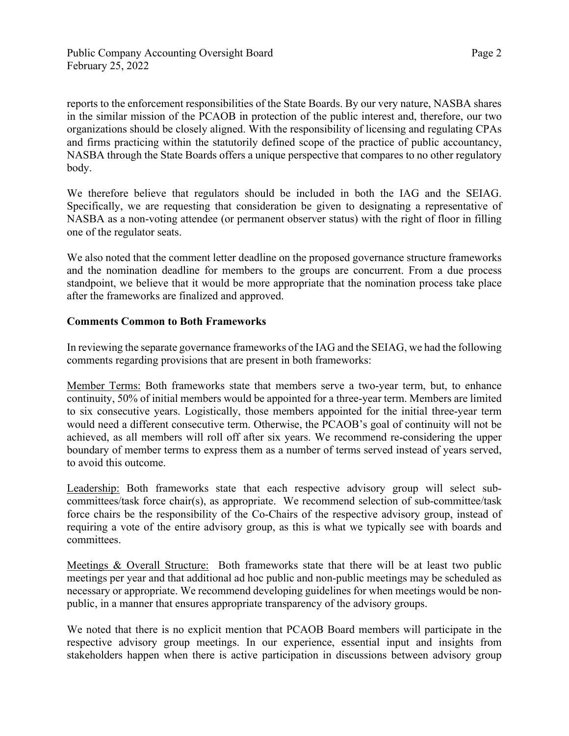reports to the enforcement responsibilities of the State Boards. By our very nature, NASBA shares in the similar mission of the PCAOB in protection of the public interest and, therefore, our two organizations should be closely aligned. With the responsibility of licensing and regulating CPAs and firms practicing within the statutorily defined scope of the practice of public accountancy, NASBA through the State Boards offers a unique perspective that compares to no other regulatory body.

We therefore believe that regulators should be included in both the IAG and the SEIAG. Specifically, we are requesting that consideration be given to designating a representative of NASBA as a non-voting attendee (or permanent observer status) with the right of floor in filling one of the regulator seats.

We also noted that the comment letter deadline on the proposed governance structure frameworks and the nomination deadline for members to the groups are concurrent. From a due process standpoint, we believe that it would be more appropriate that the nomination process take place after the frameworks are finalized and approved.

### **Comments Common to Both Frameworks**

In reviewing the separate governance frameworks of the IAG and the SEIAG, we had the following comments regarding provisions that are present in both frameworks:

Member Terms: Both frameworks state that members serve a two-year term, but, to enhance continuity, 50% of initial members would be appointed for a three-year term. Members are limited to six consecutive years. Logistically, those members appointed for the initial three-year term would need a different consecutive term. Otherwise, the PCAOB's goal of continuity will not be achieved, as all members will roll off after six years. We recommend re-considering the upper boundary of member terms to express them as a number of terms served instead of years served, to avoid this outcome.

Leadership: Both frameworks state that each respective advisory group will select subcommittees/task force chair(s), as appropriate. We recommend selection of sub-committee/task force chairs be the responsibility of the Co-Chairs of the respective advisory group, instead of requiring a vote of the entire advisory group, as this is what we typically see with boards and committees.

Meetings & Overall Structure: Both frameworks state that there will be at least two public meetings per year and that additional ad hoc public and non-public meetings may be scheduled as necessary or appropriate. We recommend developing guidelines for when meetings would be nonpublic, in a manner that ensures appropriate transparency of the advisory groups.

We noted that there is no explicit mention that PCAOB Board members will participate in the respective advisory group meetings. In our experience, essential input and insights from stakeholders happen when there is active participation in discussions between advisory group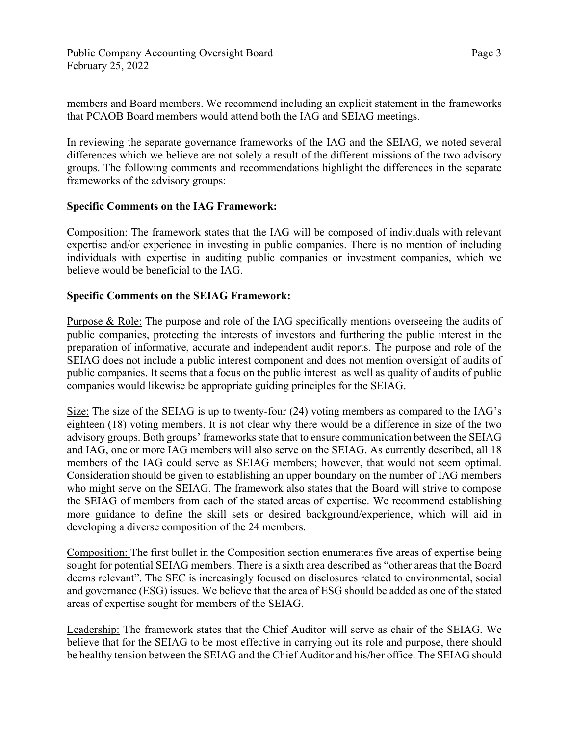members and Board members. We recommend including an explicit statement in the frameworks that PCAOB Board members would attend both the IAG and SEIAG meetings.

In reviewing the separate governance frameworks of the IAG and the SEIAG, we noted several differences which we believe are not solely a result of the different missions of the two advisory groups. The following comments and recommendations highlight the differences in the separate frameworks of the advisory groups:

### **Specific Comments on the IAG Framework:**

Composition: The framework states that the IAG will be composed of individuals with relevant expertise and/or experience in investing in public companies. There is no mention of including individuals with expertise in auditing public companies or investment companies, which we believe would be beneficial to the IAG.

# **Specific Comments on the SEIAG Framework:**

Purpose & Role: The purpose and role of the IAG specifically mentions overseeing the audits of public companies, protecting the interests of investors and furthering the public interest in the preparation of informative, accurate and independent audit reports. The purpose and role of the SEIAG does not include a public interest component and does not mention oversight of audits of public companies. It seems that a focus on the public interest as well as quality of audits of public companies would likewise be appropriate guiding principles for the SEIAG.

Size: The size of the SEIAG is up to twenty-four (24) voting members as compared to the IAG's eighteen (18) voting members. It is not clear why there would be a difference in size of the two advisory groups. Both groups' frameworks state that to ensure communication between the SEIAG and IAG, one or more IAG members will also serve on the SEIAG. As currently described, all 18 members of the IAG could serve as SEIAG members; however, that would not seem optimal. Consideration should be given to establishing an upper boundary on the number of IAG members who might serve on the SEIAG. The framework also states that the Board will strive to compose the SEIAG of members from each of the stated areas of expertise. We recommend establishing more guidance to define the skill sets or desired background/experience, which will aid in developing a diverse composition of the 24 members.

Composition: The first bullet in the Composition section enumerates five areas of expertise being sought for potential SEIAG members. There is a sixth area described as "other areas that the Board deems relevant". The SEC is increasingly focused on disclosures related to environmental, social and governance (ESG) issues. We believe that the area of ESG should be added as one of the stated areas of expertise sought for members of the SEIAG.

Leadership: The framework states that the Chief Auditor will serve as chair of the SEIAG. We believe that for the SEIAG to be most effective in carrying out its role and purpose, there should be healthy tension between the SEIAG and the Chief Auditor and his/her office. The SEIAG should